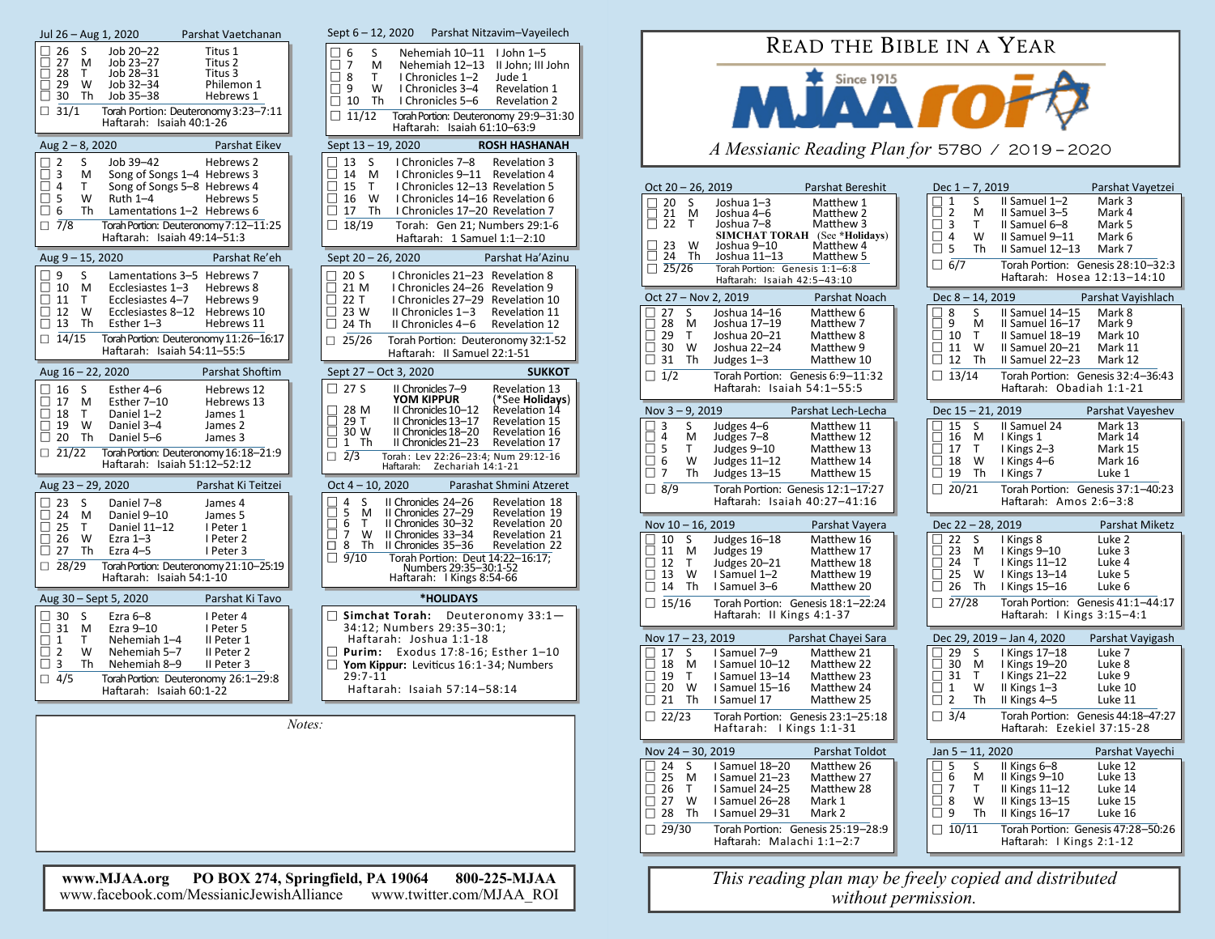| Jul 26 - Aug 1, 2020                                                                                                                                                                                    | Parshat Vaetchanan                                                                                                                                                                         | Sept $6 - 12$ , 2020<br>Parshat Nitzavim-Vayeilech                                                                                                                                                                                                                                                                                                                                    |
|---------------------------------------------------------------------------------------------------------------------------------------------------------------------------------------------------------|--------------------------------------------------------------------------------------------------------------------------------------------------------------------------------------------|---------------------------------------------------------------------------------------------------------------------------------------------------------------------------------------------------------------------------------------------------------------------------------------------------------------------------------------------------------------------------------------|
| 26<br>S<br>Job 20-22<br>Job 23-27<br>27<br>м<br>28<br>T.<br>Job 28-31<br>Job 32-34<br>П<br>29<br>w<br>$\square$ 30<br>Job 35-38<br>Th<br>$\Box$ 31/1                                                    | Titus 1<br>Titus 2<br>Titus 3<br>Philemon 1<br>Hebrews 1<br>Torah Portion: Deuteronomy 3:23-7:11<br>Haftarah: Isaiah 40:1-26                                                               | S<br>6<br>Nehemiah 10-11<br>$1$ John $1-5$<br>$\Box$ 7<br>м<br>Nehemiah 12-13<br>II John; III John<br>П<br>8<br>I Chronicles 1-2<br>Τ<br>Jude 1<br>$\Box$ 9<br>W<br>I Chronicles 3-4<br>Revelation 1<br>10<br>П<br>Th<br>I Chronicles 5-6<br><b>Revelation 2</b><br>$\Box$ 11/12<br>Torah Portion: Deuteronomy 29:9-31:30<br>Haftarah: Isaiah 61:10-63:9                              |
| Aug $2 - 8$ , 2020                                                                                                                                                                                      | Parshat Eikev                                                                                                                                                                              | Sept 13 - 19, 2020<br><b>ROSH HASHANAH</b>                                                                                                                                                                                                                                                                                                                                            |
| $\overline{2}$<br>Job 39-42<br>П<br>S<br>$\square$ 3<br>м<br>□<br>$\overline{4}$<br>т<br>$\square$ 5<br>W<br>Ruth $1-4$<br>□ 6<br>Th<br>$\Box$ 7/8                                                      | Hebrews 2<br>Song of Songs 1-4 Hebrews 3<br>Song of Songs 5-8 Hebrews 4<br>Hebrews 5<br>Lamentations 1-2 Hebrews 6<br>Torah Portion: Deuteronomy 7:12-11:25<br>Haftarah: Isaiah 49:14-51:3 | 13<br>S<br>I Chronicles 7-8<br>Revelation 3<br>$\blacksquare$<br>14<br>M<br>I Chronicles 9-11 Revelation 4<br>15<br>T.<br>I Chronicles 12-13 Revelation 5<br>16<br>W<br>I Chronicles 14-16 Revelation 6<br>$\mathsf{I}$<br>I Chronicles 17-20 Revelation 7<br>$\Box$<br>17<br>Th<br>18/19<br>$\Box$<br>Torah: Gen 21; Numbers 29:1-6<br>Haftarah: 1 Samuel 1:1-2:10                   |
| Aug 9-15, 2020                                                                                                                                                                                          | Parshat Re'eh                                                                                                                                                                              | Sept 20 - 26, 2020<br>Parshat Ha'Azinu                                                                                                                                                                                                                                                                                                                                                |
| 9<br>S<br>10<br>⊔<br>M<br>Ecclesiastes 1-3<br>$\Box$ 11<br>T.<br>Ecclesiastes 4-7<br>W<br>$\Box$ 12<br>$\Box$ 13<br>Th<br>Esther $1-3$<br>$\Box$ 14/15                                                  | Lamentations 3-5 Hebrews 7<br>Hebrews 8<br>Hebrews 9<br>Ecclesiastes 8-12<br>Hebrews 10<br>Hebrews 11<br>Torah Portion: Deuteronomy 11:26-16:17<br>Haftarah: Isaiah 54:11-55:5             | 20 <sub>S</sub><br>I Chronicles 21-23 Revelation 8<br>21 M<br>I Chronicles 24-26 Revelation 9<br>$\mathsf{L}$<br>22 T<br>I Chronicles 27-29 Revelation 10<br>$\perp$<br>23 W<br>II Chronicles 1-3<br>Revelation 11<br>$\mathsf{L}$<br>П<br>24 Th<br>II Chronicles 4-6<br>Revelation 12<br>$\Box$ 25/26<br>Torah Portion: Deuteronomy 32:1-52<br>Haftarah: II Samuel 22:1-51           |
| Aug 16 - 22, 2020                                                                                                                                                                                       | Parshat Shoftim                                                                                                                                                                            | Sept 27 - Oct 3, 2020<br><b>SUKKOT</b>                                                                                                                                                                                                                                                                                                                                                |
| S<br>16<br>Esther 4-6<br>П<br>17<br>Esther 7-10<br>м<br>T.<br>Daniel 1-2<br>  18<br>Daniel 3-4<br>П<br>19<br>W<br>$\square$ 20<br>Th<br>Daniel 5-6<br>$\begin{array}{c}\n\Box \quad 21/22\n\end{array}$ | Hebrews 12<br>Hebrews 13<br>James 1<br>James 2<br>James 3<br>Torah Portion: Deuteronomy 16:18-21:9<br>Haftarah: Isaiah 51:12-52:12                                                         | 27S<br>П<br>II Chronicles 7-9<br>Revelation 13<br><b>YOM KIPPUR</b><br>(*See <b>Holidays</b> )<br>28 M<br>II Chronicles 10-12<br>Revelation 14<br>29 T<br>II Chronicles 13-17<br>Revelation 15<br>30 W<br>II Chronicles 18-20<br>Revelation 16<br>1 Th<br>II Chronicles 21-23<br>Revelation 17<br>$\Box$ 2/3<br>Torah: Lev 22:26-23:4: Num 29:12-16<br>Zechariah 14:1-21<br>Haftarah: |
| Aug 23 - 29, 2020                                                                                                                                                                                       | Parshat Ki Teitzei                                                                                                                                                                         | $Oct 4 - 10, 2020$<br>Parashat Shmini Atzeret                                                                                                                                                                                                                                                                                                                                         |
| 23<br>S<br>Daniel 7-8<br>٦<br>24<br>м<br>Daniel 9-10<br>$\mathsf{L}$<br>Daniel 11-12<br>⊔<br>25<br>Τ<br>W<br>$\sqcup$ 26<br>Ezra $1-3$<br>27<br>Th<br>Ezra $4-5$<br>$\perp$<br>$\Box$ 28/29             | James 4<br>James 5<br>I Peter 1<br>I Peter 2<br>I Peter 3<br>Torah Portion: Deuteronomy 21:10-25:19<br>Haftarah: Isaiah 54:1-10                                                            | 4<br>S<br>II Chronicles 24-26<br>Revelation 18<br>5<br>M<br>II Chronicles 27-29<br>Revelation 19<br>6<br>T.<br>II Chronicles 30-32<br>Revelation 20<br>7<br>W<br>II Chronicles 33-34<br>Revelation 21<br>8<br>II Chronicles 35-36<br>Th<br>□<br><b>Revelation 22</b><br>9/10<br>П<br>Torah Portion: Deut 14:22-16:17;<br>Numbers 29:35-30:1-52<br>Haftarah: I Kings 8:54-66           |
| Aug 30 - Sept 5, 2020                                                                                                                                                                                   | Parshat Ki Tavo                                                                                                                                                                            | *HOLIDAYS                                                                                                                                                                                                                                                                                                                                                                             |
| S<br>Ezra $6-8$<br>30<br>31<br>Ezra 9-10<br>$\Box$<br>M<br>$\Box$<br>1<br>T<br>Nehemiah 1-4<br>$\overline{2}$<br>П<br>W<br>Nehemiah 5-7<br>3<br>□<br>Th<br>Nehemiah 8-9<br>$\Box$ 4/5                   | I Peter 4<br>I Peter 5<br>II Peter 1<br>II Peter 2<br>II Peter 3<br>Torah Portion: Deuteronomy 26:1-29:8<br>Haftarah: Isaiah 60:1-22                                                       | Simchat Torah:<br>Deuteronomy 33:1-<br>34:12; Numbers 29:35-30:1;<br>Haftarah: Joshua 1:1-18<br>Exodus 17:8-16; Esther 1-10<br>$\Box$ Purim:<br>Yom Kippur: Leviticus 16:1-34; Numbers<br>29:7-11<br>Haftarah: Isaiah 57:14-58:14                                                                                                                                                     |
|                                                                                                                                                                                                         |                                                                                                                                                                                            |                                                                                                                                                                                                                                                                                                                                                                                       |
|                                                                                                                                                                                                         |                                                                                                                                                                                            | Notes:                                                                                                                                                                                                                                                                                                                                                                                |

**www.MJAA.org PO BOX 274, Springfield, PA 19064 800-225-MJAA** www.facebook.com/MessianicJewishAlliance www.twitter.com/MJAA\_ROI

## READ THE BIBLE IN A YEAR



*A Messianic Reading Plan for* 5780 / 2019 – 2020

| Oct 20 - 26, 2019                                                                                                  |                                                                                                                                                          | Parshat Bereshit                                                                     | Dec $1 - 7$ , 2019                                                                                                           |                                                                                                                         | Parshat Vayetzei                                                                                             |
|--------------------------------------------------------------------------------------------------------------------|----------------------------------------------------------------------------------------------------------------------------------------------------------|--------------------------------------------------------------------------------------|------------------------------------------------------------------------------------------------------------------------------|-------------------------------------------------------------------------------------------------------------------------|--------------------------------------------------------------------------------------------------------------|
| S<br>20<br>21<br>м<br>J.<br>22<br>T<br>23<br>W<br>24<br>Th                                                         | Joshua 1-3<br>Joshua 4-6<br>Joshua 7-8<br><b>SIMCHAT TORAH</b> (See *Holidays)<br>Joshua 9-10<br>Joshua 11-13                                            | Matthew 1<br>Matthew 2<br>Matthew 3<br>Matthew 4<br>Matthew 5                        | $\mathbf{1}$<br>S<br>$\overline{2}$<br>П<br>M<br>П<br>3<br>T<br>4<br>W<br>$\mathsf{L}$<br>5<br>□<br>Th                       | II Samuel 1-2<br>II Samuel 3-5<br>II Samuel 6-8<br>II Samuel 9-11<br>II Samuel 12-13                                    | Mark 3<br>Mark 4<br>Mark 5<br>Mark 6<br>Mark 7                                                               |
| $\boxed{)}$ 25/26                                                                                                  | Torah Portion: Genesis 1:1-6:8<br>Haftarah: Isaiah 42:5-43:10                                                                                            |                                                                                      | $\Box$ 6/7                                                                                                                   | Haftarah: Hosea 12:13-14:10                                                                                             | Torah Portion: Genesis 28:10-32:3                                                                            |
| Oct 27 - Nov 2, 2019                                                                                               |                                                                                                                                                          | Parshat Noach                                                                        | $Dec 8 - 14, 2019$                                                                                                           |                                                                                                                         | Parshat Vayishlach                                                                                           |
| 27<br>S<br>28<br>M<br>29<br>T.<br>30<br>W<br>31<br>Th<br>$\mathbf{I}$<br>$\overline{1/2}$<br>П                     | Joshua 14-16<br>Joshua 17-19<br>Joshua 20-21<br>Joshua 22-24<br>Judges 1-3<br>Torah Portion: Genesis 6:9-11:32<br>Haftarah: Isaiah 54:1-55:5             | Matthew 6<br>Matthew 7<br>Matthew 8<br>Matthew 9<br>Matthew 10                       | 8<br>S.<br>9<br>M<br>⊔<br>10<br>T<br>$\perp$<br>11<br>W<br>П<br>12<br>Th<br>$\perp$<br>$\Box$ 13/14                          | II Samuel 14-15<br>II Samuel 16-17<br>II Samuel 18-19<br>II Samuel 20-21<br>II Samuel 22-23<br>Haftarah: Obadiah 1:1-21 | Mark 8<br>Mark 9<br>Mark 10<br>Mark 11<br>Mark 12<br>Torah Portion: Genesis 32:4-36:43                       |
| Nov $3 - 9$ , 2019                                                                                                 |                                                                                                                                                          | Parshat Lech-Lecha                                                                   | Dec 15 - 21, 2019                                                                                                            |                                                                                                                         | Parshat Vayeshev                                                                                             |
| 3<br>S.<br>$\overline{4}$<br>M<br>5<br>T<br>П<br>6<br>W<br>$\overline{7}$<br>$\Box$<br>Th<br>$\Box$ 8/9            | Judges 4-6<br>Judges 7–8<br>Judges 9-10<br>Judges 11-12<br>Judges 13-15<br>Torah Portion: Genesis 12:1-17:27<br>Haftarah: Isaiah 40:27-41:16             | Matthew 11<br>Matthew 12<br>Matthew 13<br>Matthew 14<br>Matthew 15                   | 15<br>S<br>16<br>П<br>M<br>□<br>17<br>T<br>П<br>18<br>W<br>19<br>$\mathsf{L}$<br>Th<br>$\Box$ 20/21                          | II Samuel 24<br>I Kings 1<br>I Kings 2-3<br>I Kings 4-6<br>I Kings 7<br>Haftarah: Amos 2:6-3:8                          | Mark 13<br>Mark 14<br>Mark 15<br>Mark 16<br>Luke 1<br>Torah Portion: Genesis 37:1-40:23                      |
|                                                                                                                    |                                                                                                                                                          |                                                                                      |                                                                                                                              |                                                                                                                         |                                                                                                              |
|                                                                                                                    |                                                                                                                                                          |                                                                                      |                                                                                                                              |                                                                                                                         | <b>Parshat Miketz</b>                                                                                        |
| Nov 10 - 16, 2019<br>S<br>10<br>11<br>M<br>T.<br>12<br>13<br>W<br>14<br>Th                                         | Judges 16-18<br>Judges 19<br>Judges 20-21<br>I Samuel 1-2<br>I Samuel 3-6                                                                                | Parshat Vayera<br>Matthew 16<br>Matthew 17<br>Matthew 18<br>Matthew 19<br>Matthew 20 | Dec 22 - 28, 2019<br>22<br>S<br>23<br>м<br>$\perp$<br>T<br>П<br>24<br>25<br>п<br>W<br>П<br>26<br>Th                          | I Kings 8<br>I Kings 9-10<br>I Kings 11-12<br>I Kings 13-14<br>I Kings 15-16                                            | Luke 2<br>Luke 3<br>Luke 4<br>Luke 5<br>Luke 6                                                               |
| 15/16<br>$\Box$                                                                                                    | Torah Portion: Genesis 18:1-22:24<br>Haftarah: II Kings 4:1-37                                                                                           |                                                                                      | $\Box$ 27/28                                                                                                                 | Haftarah: I Kings 3:15-4:1                                                                                              | Torah Portion: Genesis 41:1-44:17                                                                            |
| Nov 17-23, 2019                                                                                                    |                                                                                                                                                          | Parshat Chayei Sara                                                                  |                                                                                                                              | Dec 29, 2019 - Jan 4, 2020                                                                                              | Parshat Vayigash                                                                                             |
| 17<br>S<br>18<br>M<br>T.<br>19<br>20<br>W<br>21<br>Th<br>П<br>22/23                                                | I Samuel 7-9<br>I Samuel 10-12<br>I Samuel 13-14<br>I Samuel 15-16<br>I Samuel 17<br>Torah Portion: Genesis 23:1-25:18                                   | Matthew 21<br>Matthew 22<br>Matthew 23<br>Matthew 24<br>Matthew 25                   | 29<br>S<br>30<br>$\mathsf{L}$<br>M<br>П<br>31<br>T<br>$\mathbf{1}$<br>П<br>W<br>$\overline{2}$<br>$\Box$<br>Th<br>$\Box$ 3/4 | I Kings 17-18<br>I Kings 19-20<br>I Kings 21-22<br>II Kings 1-3<br>II Kings 4-5<br>Haftarah: Ezekiel 37:15-28           | Luke 7<br>Luke 8<br>Luke 9<br>Luke 10<br>Luke 11<br>Torah Portion: Genesis 44:18-47:27                       |
|                                                                                                                    | Haftarah: Kings 1:1-31                                                                                                                                   |                                                                                      |                                                                                                                              |                                                                                                                         |                                                                                                              |
| Nov 24 - 30, 2019<br>24<br>S<br>25<br>M<br>26<br>T.<br>$\vert \ \ \vert$<br>27<br>W<br>28<br>Th<br>$\Box$<br>29/30 | I Samuel 18-20<br>I Samuel 21-23<br>I Samuel 24-25<br>I Samuel 26-28<br>I Samuel 29-31<br>Torah Portion: Genesis 25:19-28:9<br>Haftarah: Malachi 1:1-2:7 | Parshat Toldot<br>Matthew 26<br>Matthew 27<br>Matthew 28<br>Mark 1<br>Mark 2         | Jan 5-11, 2020<br>5<br>S<br>□<br>6<br>M<br>7<br>П<br>Τ<br>8<br>W<br>П<br>9<br>П<br>Th<br>$\Box$ 10/11                        | II Kings 6-8<br>II Kings 9–10<br>II Kings $11-12$<br>II Kings 13-15<br>II Kings 16-17<br>Haftarah: I Kings 2:1-12       | Parshat Vayechi<br>Luke 12<br>Luke 13<br>Luke 14<br>Luke 15<br>Luke 16<br>Torah Portion: Genesis 47:28-50:26 |

*This reading plan may be freely copied and distributed without permission.*